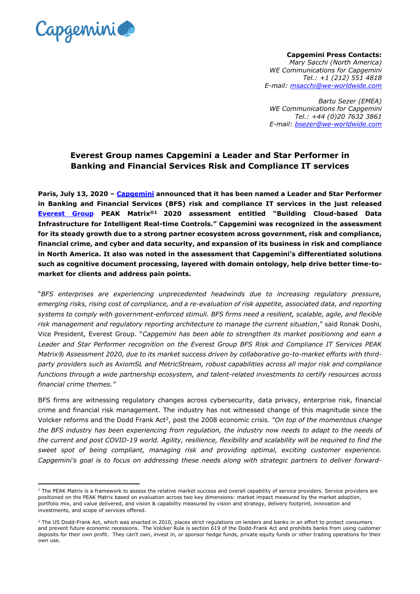

**Capgemini Press Contacts:** *Mary Sacchi (North America) WE Communications for Capgemini Tel.: +1 (212) 551 4818 E-mail: [msacchi@we-worldwide.com](file:///C:/Users/marharn/AppData/Local/Microsoft/Windows/INetCache/Content.Outlook/8JEJXXXD/msacchi@we-worldwide.com)*

*Bartu Sezer (EMEA) WE Communications for Capgemini Tel.: +44 (0)20 7632 3861 E-mail: bsezer@we-worldwide.com*

## **Everest Group names Capgemini a Leader and Star Performer in Banking and Financial Services Risk and Compliance IT services**

**Paris, July 13, 2020 – [Capgemini](http://www.capgemini.com/) announced that it has been named a Leader and Star Performer in Banking and Financial Services (BFS) risk and compliance IT services in the just released [Everest Group](https://www.everestgrp.com/) PEAK Matrix®1 2020 assessment entitled "Building Cloud-based Data Infrastructure for Intelligent Real-time Controls." Capgemini was recognized in the assessment for its steady growth due to a strong partner ecosystem across government, risk and compliance, financial crime, and cyber and data security, and expansion of its business in risk and compliance in North America. It also was noted in the assessment that Capgemini's differentiated solutions such as cognitive document processing, layered with domain ontology, help drive better time-tomarket for clients and address pain points.**

"*BFS enterprises are experiencing unprecedented headwinds due to increasing regulatory pressure, emerging risks, rising cost of compliance, and a re-evaluation of risk appetite, associated data, and reporting systems to comply with government-enforced stimuli. BFS firms need a resilient, scalable, agile, and flexible risk management and regulatory reporting architecture to manage the current situation*," said Ronak Doshi, Vice President, Everest Group. "*Capgemini has been able to strengthen its market positioning and earn a Leader and Star Performer recognition on the Everest Group BFS Risk and Compliance IT Services PEAK Matrix® Assessment 2020, due to its market success driven by collaborative go-to-market efforts with thirdparty providers such as AxiomSL and MetricStream, robust capabilities across all major risk and compliance functions through a wide partnership ecosystem, and talent-related investments to certify resources across financial crime themes."*

BFS firms are witnessing regulatory changes across cybersecurity, data privacy, enterprise risk, financial crime and financial risk management. The industry has not witnessed change of this magnitude since the Volcker reforms and the Dodd Frank Act<sup>2</sup>, post the 2008 economic crisis. "On top of the momentous change *the BFS industry has been experiencing from regulation, the industry now needs to adapt to the needs of the current and post COVID-19 world. Agility, resilience, flexibility and scalability will be required to find the sweet spot of being compliant, managing risk and providing optimal, exciting customer experience. Capgemini's goal is to focus on addressing these needs along with strategic partners to deliver forward-*

 $1$  The PEAK Matrix is a framework to assess the relative market success and overall capability of service providers. Service providers are positioned on the PEAK Matrix based on evaluation across two key dimensions: market impact measured by the market adoption, portfolio mix, and value delivered, and vision & capability measured by vision and strategy, delivery footprint, innovation and investments, and scope of services offered.

 $<sup>2</sup>$  The US Dodd-Frank Act, which was enacted in 2010, places strict regulations on lenders and banks in an effort to protect consumers</sup> and prevent future economic recessions. The Volcker Rule is section 619 of the Dodd-Frank Act and prohibits banks from using customer deposits for their own profit. They can't own, invest in, or sponsor hedge funds, private equity funds or other trading operations for their own use.